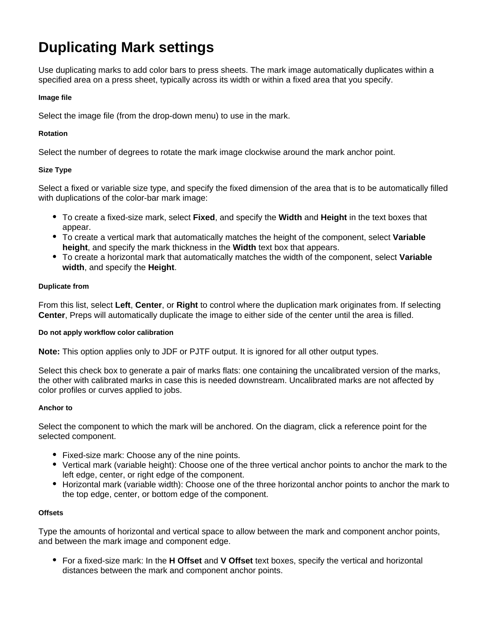# **Duplicating Mark settings**

Use duplicating marks to add color bars to press sheets. The mark image automatically duplicates within a specified area on a press sheet, typically across its width or within a fixed area that you specify.

## **Image file**

Select the image file (from the drop-down menu) to use in the mark.

## **Rotation**

Select the number of degrees to rotate the mark image clockwise around the mark anchor point.

# **Size Type**

Select a fixed or variable size type, and specify the fixed dimension of the area that is to be automatically filled with duplications of the color-bar mark image:

- To create a fixed-size mark, select **Fixed**, and specify the **Width** and **Height** in the text boxes that appear.
- To create a vertical mark that automatically matches the height of the component, select **Variable height**, and specify the mark thickness in the **Width** text box that appears.
- To create a horizontal mark that automatically matches the width of the component, select **Variable width**, and specify the **Height**.

#### **Duplicate from**

From this list, select **Left**, **Center**, or **Right** to control where the duplication mark originates from. If selecting **Center**, Preps will automatically duplicate the image to either side of the center until the area is filled.

#### **Do not apply workflow color calibration**

**Note:** This option applies only to JDF or PJTF output. It is ignored for all other output types.

Select this check box to generate a pair of marks flats: one containing the uncalibrated version of the marks, the other with calibrated marks in case this is needed downstream. Uncalibrated marks are not affected by color profiles or curves applied to jobs.

#### **Anchor to**

Select the component to which the mark will be anchored. On the diagram, click a reference point for the selected component.

- Fixed-size mark: Choose any of the nine points.
- Vertical mark (variable height): Choose one of the three vertical anchor points to anchor the mark to the left edge, center, or right edge of the component.
- Horizontal mark (variable width): Choose one of the three horizontal anchor points to anchor the mark to the top edge, center, or bottom edge of the component.

## **Offsets**

Type the amounts of horizontal and vertical space to allow between the mark and component anchor points, and between the mark image and component edge.

For a fixed-size mark: In the **H Offset** and **V Offset** text boxes, specify the vertical and horizontal distances between the mark and component anchor points.